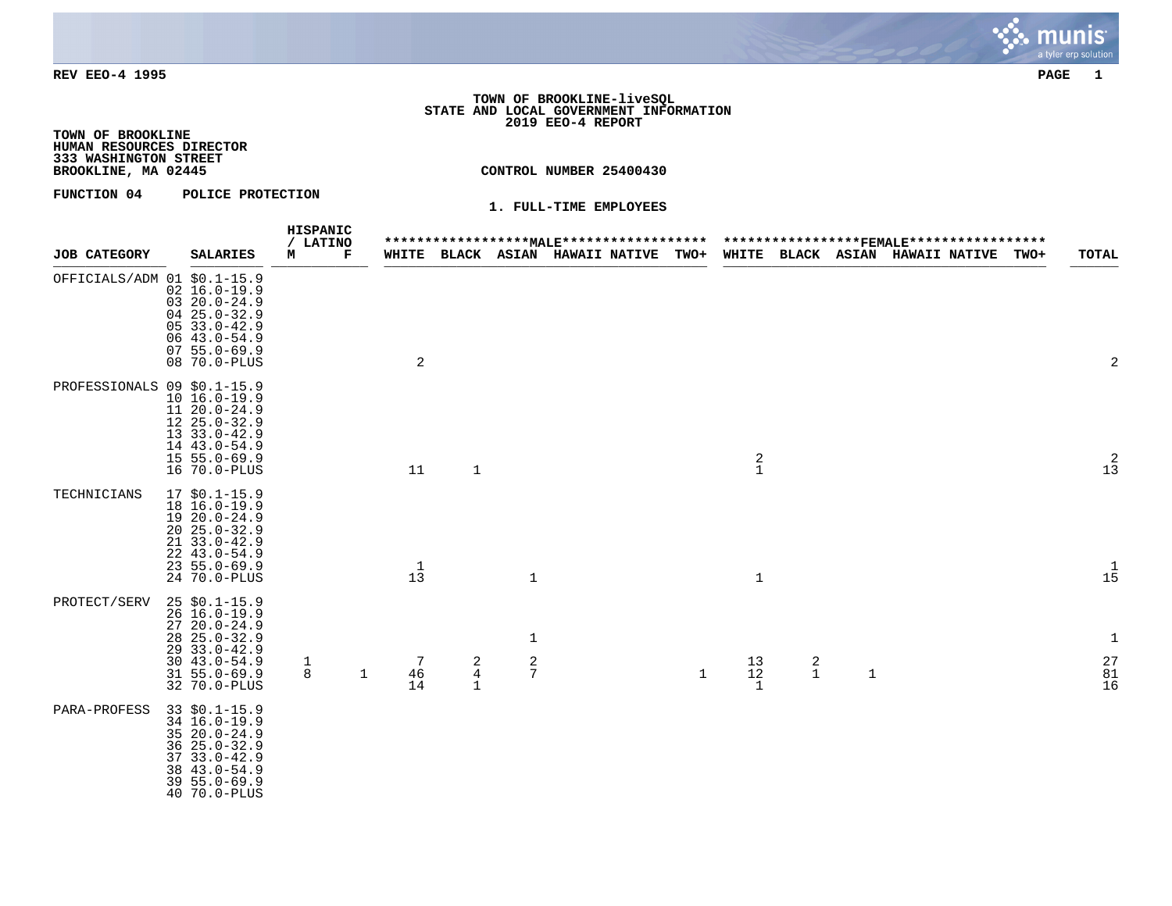

# **TOWN OF BROOKLINE-liveSQL STATE AND LOCAL GOVERNMENT INFORMATION 2019 EEO-4 REPORT**

**TOWN OF BROOKLINE HUMAN RESOURCES DIRECTOR 333 WASHINGTON STREET**

**BROOKLINE, MA 02445 CONTROL NUMBER 25400430**

# **FUNCTION 04 POLICE PROTECTION**

|                             |  |                                                                                                                                                           | HISPANIC<br>/ LATINO |              |                                 |                        |                    |                                 | ******************* <u>MALE</u> ******************* |              |                     |                  |              | ******************FEMALE****************** |      |                                                               |
|-----------------------------|--|-----------------------------------------------------------------------------------------------------------------------------------------------------------|----------------------|--------------|---------------------------------|------------------------|--------------------|---------------------------------|-----------------------------------------------------|--------------|---------------------|------------------|--------------|--------------------------------------------|------|---------------------------------------------------------------|
| <b>JOB CATEGORY</b>         |  | <b>SALARIES</b>                                                                                                                                           | М                    | Г            |                                 |                        |                    | WHITE BLACK ASIAN HAWAII NATIVE |                                                     | <b>TWO+</b>  |                     |                  |              | WHITE BLACK ASIAN HAWAII NATIVE            | TWO+ | <b>TOTAL</b>                                                  |
| OFFICIALS/ADM 01 \$0.1-15.9 |  | $02 \ 16.0 - 19.9$<br>$0320.0 - 24.9$<br>$0425.0 - 32.9$<br>$0533.0 - 42.9$<br>$0643.0 - 54.9$<br>$0755.0 - 69.9$<br>08 70.0-PLUS                         |                      |              | 2                               |                        |                    |                                 |                                                     |              |                     |                  |              |                                            |      | $\overline{2}$                                                |
| PROFESSIONALS 09 \$0.1-15.9 |  | $10 16.0 - 19.9$<br>$11 20.0 - 24.9$<br>$1225.0 - 32.9$<br>$1333.0 - 42.9$<br>14 43.0-54.9<br>$155.0 - 69.9$<br>16 70.0-PLUS                              |                      |              | 11                              | $1\,$                  |                    |                                 |                                                     |              | $\frac{2}{1}$       |                  |              |                                            |      | $\begin{smallmatrix}2\\1\,3\end{smallmatrix}$                 |
| TECHNICIANS                 |  | $17$ \$0.1-15.9<br>18 16.0-19.9<br>$1920.0 - 24.9$<br>$2025.0 - 32.9$<br>$21 \quad 33.0 - 42.9$<br>$22, 43.0 - 54.9$<br>$23, 55.0 - 69.9$<br>24 70.0-PLUS |                      |              | $\mathbf{1}$<br>$1\overline{3}$ |                        | $\mathbf{1}$       |                                 |                                                     |              | $\mathbf 1$         |                  |              |                                            |      | $\begin{array}{c} 1 \\ 15 \end{array}$                        |
| PROTECT/SERV                |  | $25$ \$0.1-15.9<br>$26 16.0 - 19.9$<br>$2720.0 - 24.9$<br>$28$ $25.0 - 32.9$<br>$2933.0 - 42.9$<br>$30, 43.0 - 54.9$<br>$31 55.0 - 69.9$<br>32 70.0-PLUS  | $\mathbf 1$<br>8     | $\mathbf{1}$ | 7<br>46<br>14                   | $\frac{2}{4}$<br>$1\,$ | 1<br>$\frac{2}{7}$ |                                 |                                                     | $\mathbf{1}$ | 13<br>$12$<br>$1\,$ | 2<br>$\mathbf 1$ | $\mathbf{1}$ |                                            |      | $\mathbf{1}$<br>$\begin{array}{c} 27 \\ 81 \\ 16 \end{array}$ |
| PARA-PROFESS                |  | $33$ \$0.1-15.9<br>34 16.0-19.9<br>$3520.0 - 24.9$<br>36 25.0-32.9<br>$3733.0 - 42.9$<br>$3843.0 - 54.9$<br>$395.0 - 69.9$<br>40 70.0-PLUS                |                      |              |                                 |                        |                    |                                 |                                                     |              |                     |                  |              |                                            |      |                                                               |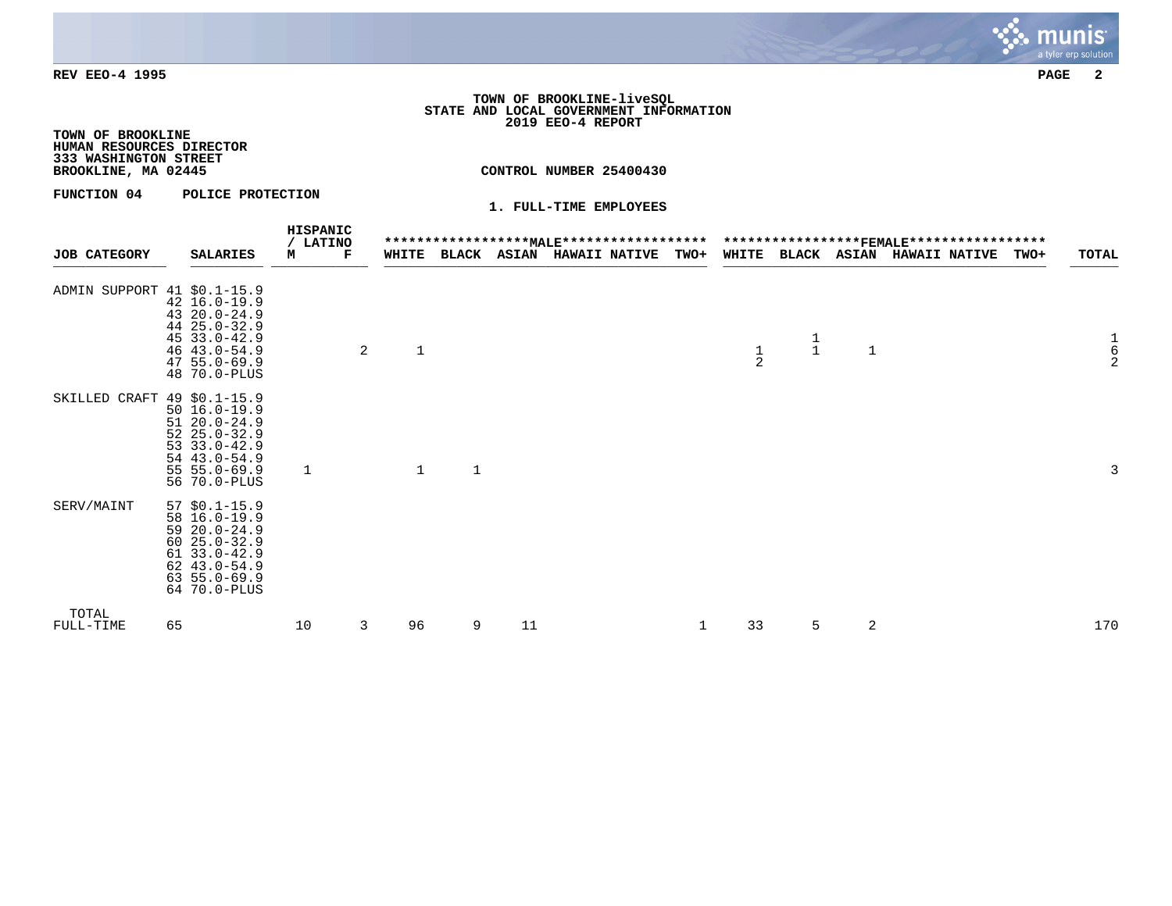

# **TOWN OF BROOKLINE-liveSQL STATE AND LOCAL GOVERNMENT INFORMATION 2019 EEO-4 REPORT**

**TOWN OF BROOKLINE HUMAN RESOURCES DIRECTOR 333 WASHINGTON STREET**

**BROOKLINE, MA 02445 CONTROL NUMBER 25400430**

**FUNCTION 04 POLICE PROTECTION** 

| <b>JOB CATEGORY</b>         | <b>SALARIES</b>                                                                                                                                    | HISPANIC<br>/ LATINO<br>м | Г |              |              |    | WHITE BLACK ASIAN HAWAII NATIVE | TWO+ |               |               |              | ******************* <u>MALE</u> *********************************** <del>FEMALE</del> *****************<br>WHITE BLACK ASIAN HAWAII NATIVE | <b>TOTAL</b><br>TWO+                       |
|-----------------------------|----------------------------------------------------------------------------------------------------------------------------------------------------|---------------------------|---|--------------|--------------|----|---------------------------------|------|---------------|---------------|--------------|--------------------------------------------------------------------------------------------------------------------------------------------|--------------------------------------------|
| ADMIN SUPPORT 41 \$0.1-15.9 | 42 16.0-19.9<br>43 20.0-24.9<br>44 25.0-32.9<br>$4533.0 - 42.9$<br>$46$ $43.0 - 54.9$<br>$47, 55.0 - 69.9$<br>48 70.0-PLUS                         |                           | 2 | $\mathbf{1}$ |              |    |                                 |      | $\frac{1}{2}$ | $\frac{1}{1}$ | $\mathbf{1}$ |                                                                                                                                            | $\begin{array}{c} 1 \\ 6 \\ 2 \end{array}$ |
| SKILLED CRAFT 49 \$0.1-15.9 | $50 16.0 - 19.9$<br>$5120.0 - 24.9$<br>$5225.0 - 32.9$<br>$53 \t33.0 - 42.9$<br>54 43.0-54.9<br>$55 55.0 - 69.9$<br>56 70.0-PLUS                   | 1                         |   | $\mathbf{1}$ | $\mathbf{1}$ |    |                                 |      |               |               |              |                                                                                                                                            | 3                                          |
| SERV/MAINT                  | $57$ \$0.1-15.9<br>58 16.0-19.9<br>$5920.0 - 24.9$<br>$6025.0 - 32.9$<br>$61$ 33.0-42.9<br>$62$ $43.0 - 54.9$<br>$63, 55.0 - 69.9$<br>64 70.0-PLUS |                           |   |              |              |    |                                 |      |               |               |              |                                                                                                                                            |                                            |
| TOTAL<br>FULL-TIME          | 65                                                                                                                                                 | 10                        | 3 | 96           | 9            | 11 |                                 | 1    | 33            | 5             | 2            |                                                                                                                                            | 170                                        |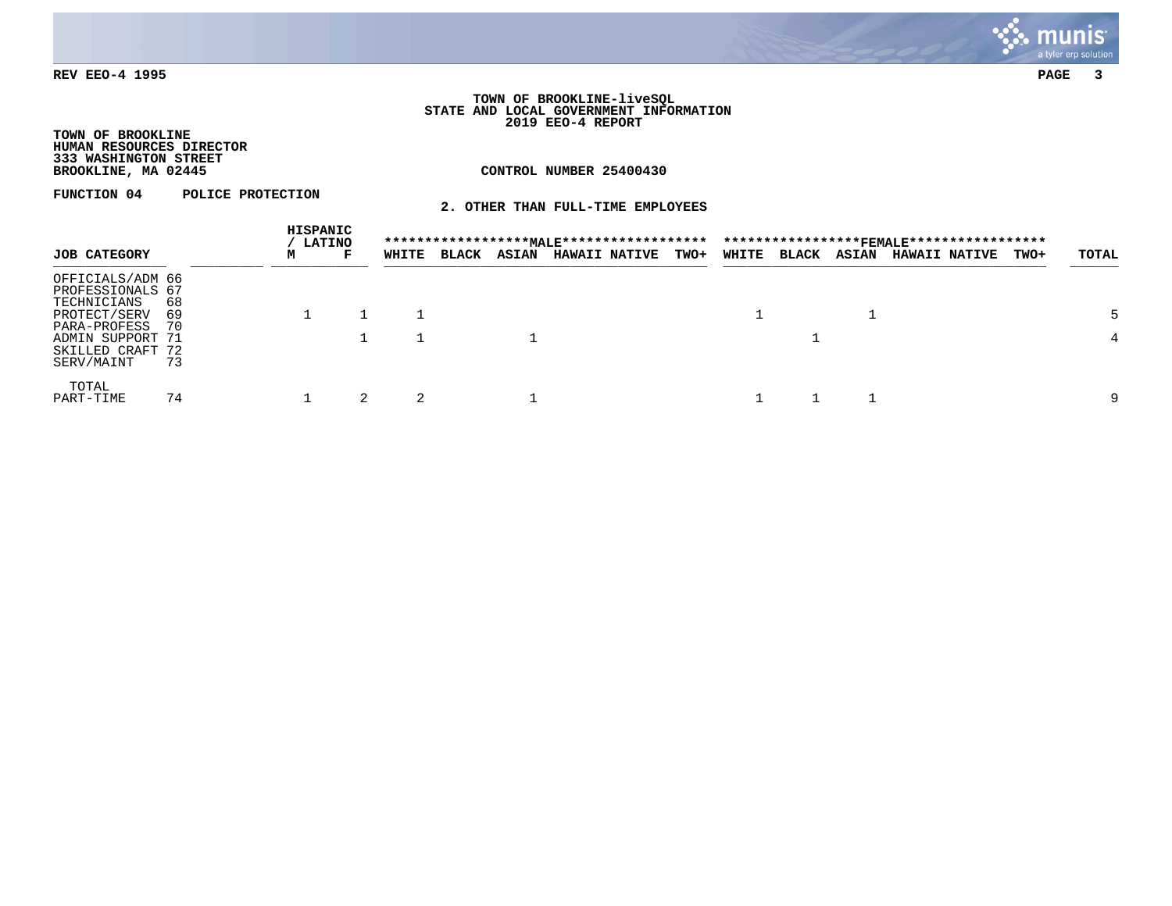

#### **TOWN OF BROOKLINE-liveSQL STATE AND LOCAL GOVERNMENT INFORMATION 2019 EEO-4 REPORT**

# **TOWN OF BROOKLINE HUMAN RESOURCES DIRECTOR 333 WASHINGTON STREET**

# **CONTROL NUMBER 25400430**

**FUNCTION 04 POLICE PROTECTION** 

**2. OTHER THAN FULL-TIME EMPLOYEES**

|                                                    | HISPANIC<br><b>LATINO</b> |   |   |       |              |              |                      |             |       |              | *****************FEMALE****************** |                      |             |       |
|----------------------------------------------------|---------------------------|---|---|-------|--------------|--------------|----------------------|-------------|-------|--------------|-------------------------------------------|----------------------|-------------|-------|
| <b>JOB CATEGORY</b>                                |                           | м | г | WHITE | <b>BLACK</b> | <b>ASIAN</b> | <b>HAWAII NATIVE</b> | <b>TWO+</b> | WHITE | <b>BLACK</b> | <b>ASIAN</b>                              | <b>HAWAII NATIVE</b> | <b>TWO+</b> | TOTAL |
| OFFICIALS/ADM 66<br>PROFESSIONALS 67               | 68                        |   |   |       |              |              |                      |             |       |              |                                           |                      |             |       |
| TECHNICIANS<br>PROTECT/SERV<br>PARA-PROFESS        | 69<br>- 70                |   |   |       |              |              |                      |             |       |              |                                           |                      |             | 5     |
| ADMIN SUPPORT 71<br>SKILLED CRAFT 72<br>SERV/MAINT | 73                        |   |   |       |              |              |                      |             |       |              |                                           |                      |             | 4     |
| TOTAL<br>PART-TIME                                 | 74                        |   |   | 2     |              |              |                      |             |       |              |                                           |                      |             | 9     |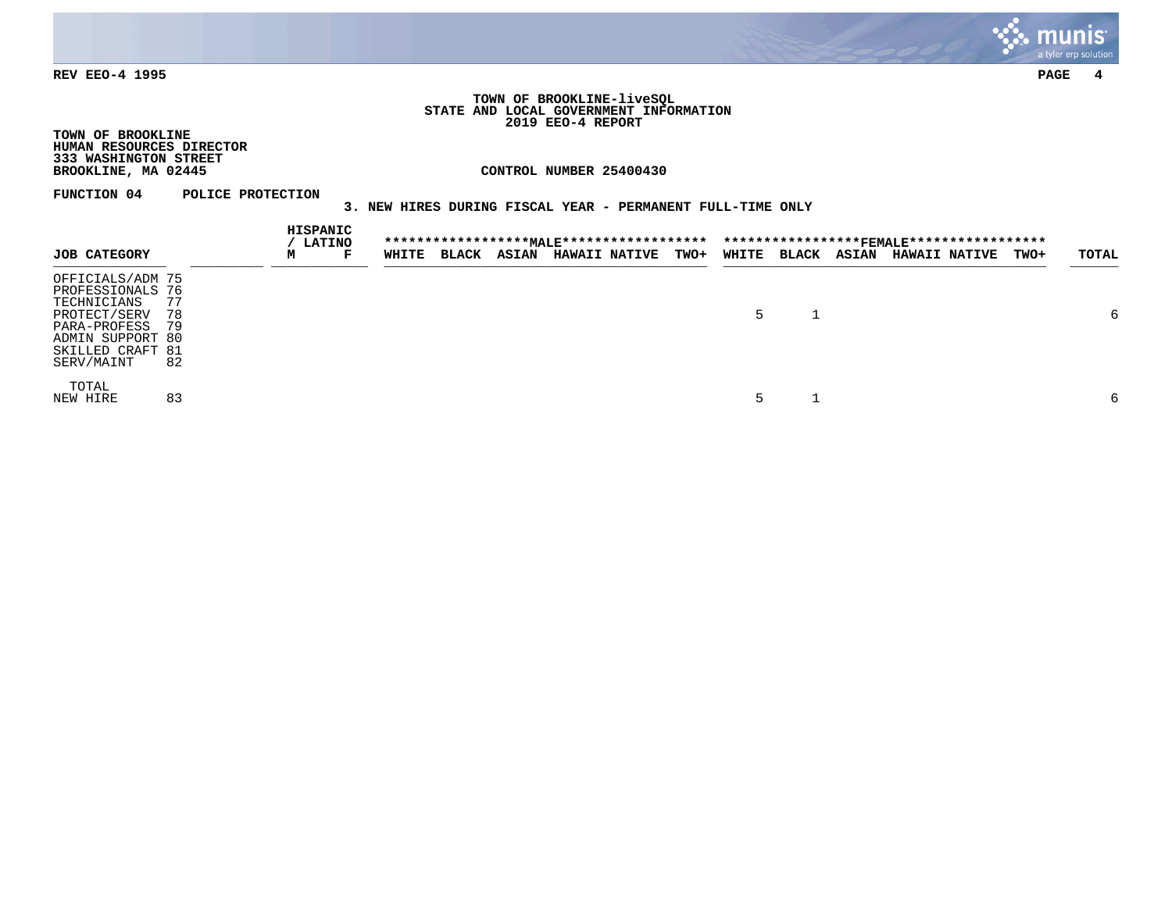

#### **TOWN OF BROOKLINE-liveSQL STATE AND LOCAL GOVERNMENT INFORMATION 2019 EEO-4 REPORT**

**TOWN OF BROOKLINE HUMAN RESOURCES DIRECTOR 333 WASHINGTON STREET**

**CONTROL NUMBER 25400430** 

**FUNCTION 04 POLICE PROTECTION** 

# **3. NEW HIRES DURING FISCAL YEAR - PERMANENT FULL-TIME ONLY**

|                                                                                                                                           |                      | <b>HISPANIC</b> | <b>LATINO</b> |       |              |              |                      |             |       |              |              |                      |             |       |
|-------------------------------------------------------------------------------------------------------------------------------------------|----------------------|-----------------|---------------|-------|--------------|--------------|----------------------|-------------|-------|--------------|--------------|----------------------|-------------|-------|
| <b>JOB CATEGORY</b>                                                                                                                       |                      | м               | г             | WHITE | <b>BLACK</b> | <b>ASIAN</b> | <b>HAWAII NATIVE</b> | <b>TWO+</b> | WHITE | <b>BLACK</b> | <b>ASIAN</b> | <b>HAWAII NATIVE</b> | <b>TWO+</b> | TOTAL |
| OFFICIALS/ADM 75<br>PROFESSIONALS 76<br>TECHNICIANS<br>PROTECT/SERV<br>PARA-PROFESS<br>ADMIN SUPPORT 80<br>SKILLED CRAFT 81<br>SERV/MAINT | 77<br>78<br>79<br>82 |                 |               |       |              |              |                      |             |       |              |              |                      |             | 6     |
| TOTAL<br>NEW HIRE                                                                                                                         | 83                   |                 |               |       |              |              |                      |             |       |              |              |                      |             | 6     |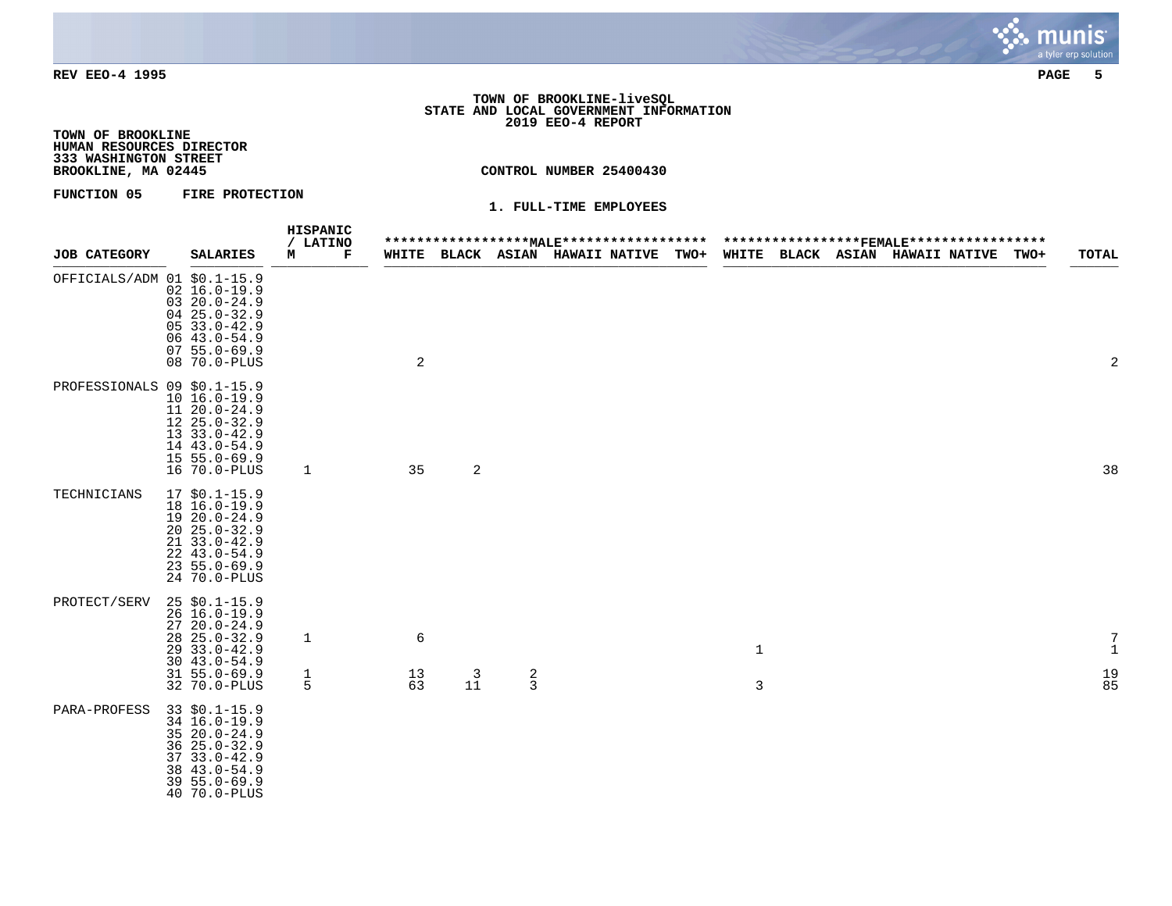

# **TOWN OF BROOKLINE-liveSQL STATE AND LOCAL GOVERNMENT INFORMATION 2019 EEO-4 REPORT**

**TOWN OF BROOKLINE HUMAN RESOURCES DIRECTOR 333 WASHINGTON STREET**

**BROOKLINE, MA 02445 CONTROL NUMBER 25400430**

## **FUNCTION 05 FIRE PROTECTION**

|                             |  |                                                                                                                                                          | HISPANIC<br>/ LATINO          |                        |                |               | ****************** <u>MALE</u> ******************* |             |                              |  | *****************FEMALE****************** |      |                                                             |
|-----------------------------|--|----------------------------------------------------------------------------------------------------------------------------------------------------------|-------------------------------|------------------------|----------------|---------------|----------------------------------------------------|-------------|------------------------------|--|-------------------------------------------|------|-------------------------------------------------------------|
| <b>JOB CATEGORY</b>         |  | <b>SALARIES</b>                                                                                                                                          | м<br>F                        |                        |                |               | WHITE BLACK ASIAN HAWAII NATIVE                    | <b>TWO+</b> |                              |  | WHITE BLACK ASIAN HAWAII_NATIVE           | TWO+ | <b>TOTAL</b>                                                |
| OFFICIALS/ADM 01 \$0.1-15.9 |  | $02 \ 16.0 - 19.9$<br>$0320.0 - 24.9$<br>$0425.0 - 32.9$<br>$0533.0 - 42.9$<br>$0643.0 - 54.9$<br>$0755.0 - 69.9$<br>08 70.0-PLUS                        |                               | $\overline{a}$         |                |               |                                                    |             |                              |  |                                           |      | $\overline{2}$                                              |
| PROFESSIONALS 09 \$0.1-15.9 |  | $10 16.0 - 19.9$<br>11 20.0-24.9<br>$1225.0 - 32.9$<br>13 33.0-42.9<br>14 43.0-54.9<br>$155.0 - 69.9$<br>16 70.0-PLUS                                    | 1                             | 35                     | $\sqrt{2}$     |               |                                                    |             |                              |  |                                           |      | 38                                                          |
| TECHNICIANS                 |  | $17$ \$0.1-15.9<br>18 16.0-19.9<br>$1920.0 - 24.9$<br>$20, 25.0 - 32.9$<br>$21 \quad 33.0 - 42.9$<br>$22, 43.0 - 54.9$<br>$235.0 - 69.9$<br>24 70.0-PLUS |                               |                        |                |               |                                                    |             |                              |  |                                           |      |                                                             |
| PROTECT/SERV                |  | $25$ \$0.1-15.9<br>$26 \t16.0 - 19.9$<br>$2720.0 - 24.9$<br>$28$ $25.0 - 32.9$<br>29 33.0-42.9<br>$30, 43.0 - 54.9$<br>$31, 55.0 - 69.9$<br>32 70.0-PLUS | $\mathbf{1}$<br>$\frac{1}{5}$ | $\epsilon$<br>13<br>63 | $\frac{3}{11}$ | $\frac{2}{3}$ |                                                    |             | $\mathbf{1}$<br>$\mathsf{3}$ |  |                                           |      | 7<br>$\mathbf 1$<br>$\begin{array}{c} 19 \\ 85 \end{array}$ |
| PARA-PROFESS                |  | $33$ \$0.1-15.9<br>34 16.0-19.9<br>35 20.0-24.9<br>$3625.0 - 32.9$<br>$3733.0 - 42.9$<br>38 43.0-54.9<br>$395.0 - 69.9$<br>40 70.0-PLUS                  |                               |                        |                |               |                                                    |             |                              |  |                                           |      |                                                             |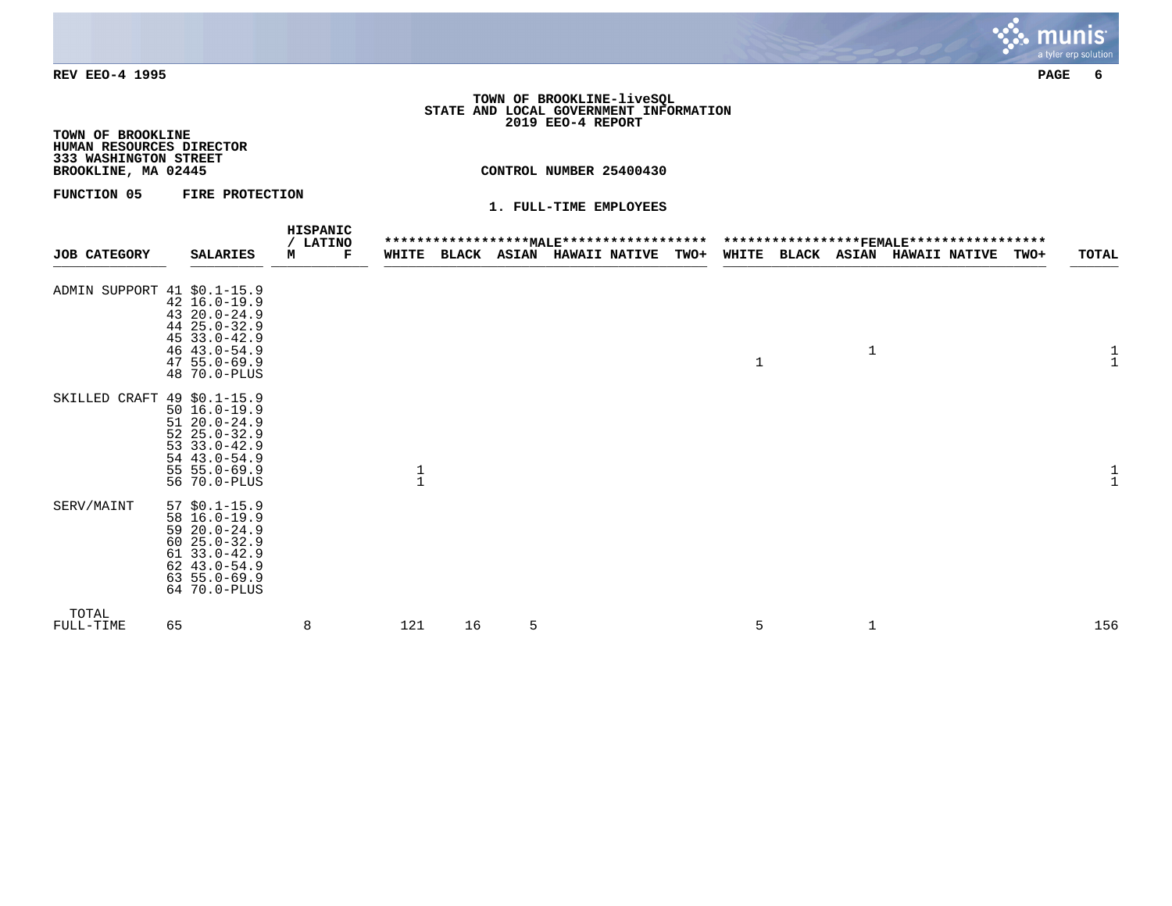

#### **TOWN OF BROOKLINE-liveSQL STATE AND LOCAL GOVERNMENT INFORMATION 2019 EEO-4 REPORT**

**TOWN OF BROOKLINE HUMAN RESOURCES DIRECTOR 333 WASHINGTON STREET**

**BROOKLINE, MA 02445 CONTROL NUMBER 25400430**

**FUNCTION 05 FIRE PROTECTION** 

| <b>JOB CATEGORY</b>         | <b>SALARIES</b>                                                                                                                                | HISPANIC<br>/ LATINO<br>M<br>Г | <b>WHITE</b>  |    |   | ******************* <u>MALE</u> *********************************** <del>FEMALE</del> *****************<br><b>BLACK ASIAN HAWAII NATIVE</b> | <b>TWO+</b> |              |   | WHITE BLACK ASIAN HAWAII NATIVE | TWO+ | <b>TOTAL</b> |
|-----------------------------|------------------------------------------------------------------------------------------------------------------------------------------------|--------------------------------|---------------|----|---|---------------------------------------------------------------------------------------------------------------------------------------------|-------------|--------------|---|---------------------------------|------|--------------|
| ADMIN SUPPORT 41 \$0.1-15.9 | 42 16.0-19.9<br>$4320.0 - 24.9$<br>44 25.0-32.9<br>$4533.0 - 42.9$<br>$46$ $43.0 - 54.9$<br>$47, 55.0 - 69.9$<br>48 70.0-PLUS                  |                                |               |    |   |                                                                                                                                             |             | $\mathbf{1}$ | 1 |                                 |      | $\mathbf{1}$ |
| SKILLED CRAFT 49 \$0.1-15.9 | $50 \ 16.0 - 19.9$<br>$5120.0 - 24.9$<br>$5225.0 - 32.9$<br>$53 \t33.0 - 42.9$<br>$54$ $43.0 - 54.9$<br>$55 55.0 - 69.9$<br>56 70.0-PLUS       |                                | $\frac{1}{1}$ |    |   |                                                                                                                                             |             |              |   |                                 |      |              |
| SERV/MAINT                  | $57$ \$0.1-15.9<br>58 16.0-19.9<br>$5920.0 - 24.9$<br>$6025.0 - 32.9$<br>$61$ 33.0-42.9<br>$62$ 43.0-54.9<br>$63, 55.0 - 69.9$<br>64 70.0-PLUS |                                |               |    |   |                                                                                                                                             |             |              |   |                                 |      |              |
| TOTAL<br>FULL-TIME          | 65                                                                                                                                             | 8                              | 121           | 16 | 5 |                                                                                                                                             |             | 5            | 1 |                                 |      | 156          |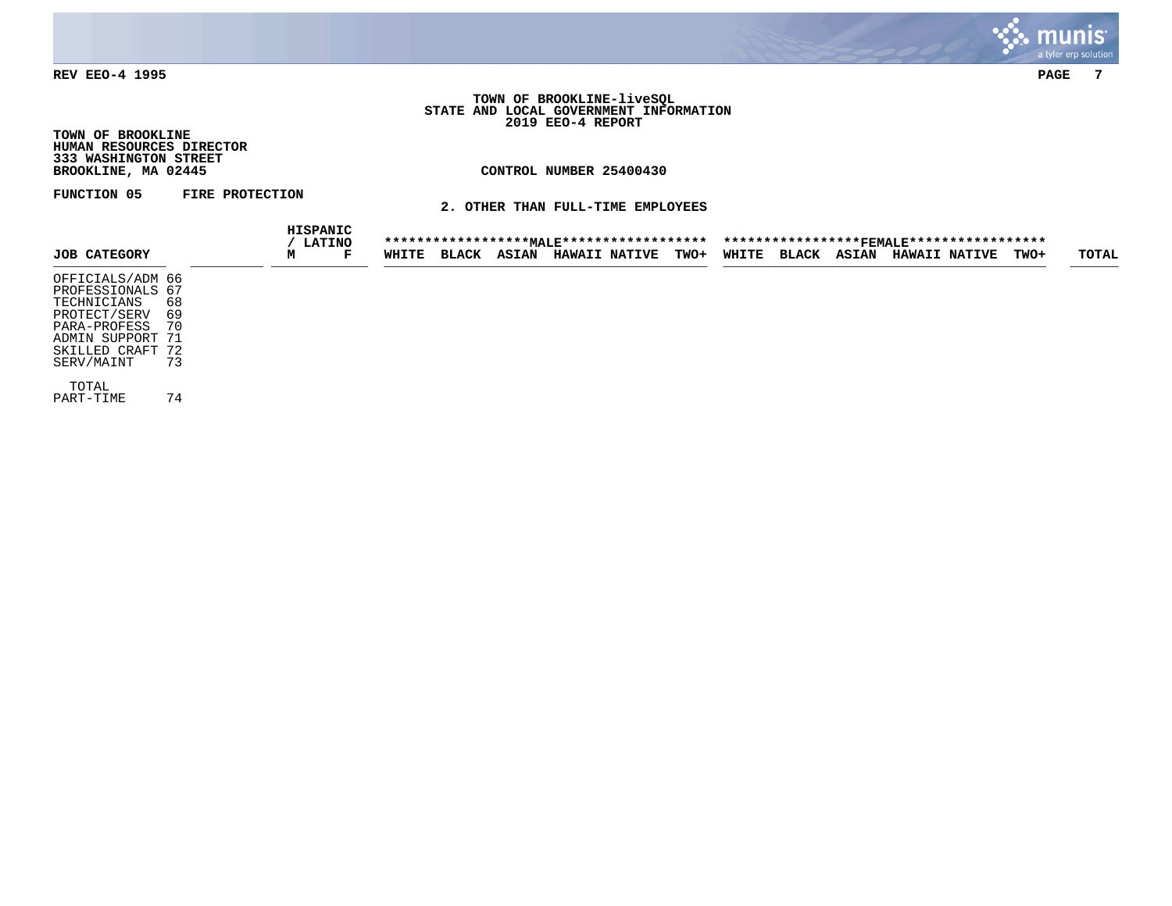

## **TOWN OF BROOKLINE-liveSQL STATE AND LOCAL GOVERNMENT INFORMATION 2019 EEO-4 REPORT**

**TOWN OF BROOKLINE HUMAN RESOURCES DIRECTOR 333 WASHINGTON STREET**

# **CONTROL NUMBER 25400430**

**FUNCTION 05 FIRE PROTECTION** 

**2. OTHER THAN FULL-TIME EMPLOYEES**

|                     |    |   | HISPANIC<br><b>LATINO</b> |       |              |              | ****************** <u>MALE</u> ****************** |      |       |              |              | ***************** <u>FEMALE</u> ****************** |             |       |
|---------------------|----|---|---------------------------|-------|--------------|--------------|---------------------------------------------------|------|-------|--------------|--------------|----------------------------------------------------|-------------|-------|
| <b>JOB CATEGORY</b> |    | м | F                         | WHITE | <b>BLACK</b> | <b>ASIAN</b> | <b>HAWAII NATIVE</b>                              | TWO+ | WHITE | <b>BLACK</b> | <b>ASIAN</b> | <b>HAWAII NATIVE</b>                               | <b>TWO+</b> | TOTAL |
| OFFICIALS/ADM 66    |    |   |                           |       |              |              |                                                   |      |       |              |              |                                                    |             |       |
| PROFESSIONALS 67    |    |   |                           |       |              |              |                                                   |      |       |              |              |                                                    |             |       |
| TECHNICIANS         | 68 |   |                           |       |              |              |                                                   |      |       |              |              |                                                    |             |       |
| PROTECT/SERV        | 69 |   |                           |       |              |              |                                                   |      |       |              |              |                                                    |             |       |
| PARA-PROFESS        | 70 |   |                           |       |              |              |                                                   |      |       |              |              |                                                    |             |       |
| ADMIN SUPPORT 71    |    |   |                           |       |              |              |                                                   |      |       |              |              |                                                    |             |       |
| SKILLED CRAFT 72    |    |   |                           |       |              |              |                                                   |      |       |              |              |                                                    |             |       |
| SERV/MAINT          | 73 |   |                           |       |              |              |                                                   |      |       |              |              |                                                    |             |       |
| TOTAL               |    |   |                           |       |              |              |                                                   |      |       |              |              |                                                    |             |       |
| PART-TIME           | 74 |   |                           |       |              |              |                                                   |      |       |              |              |                                                    |             |       |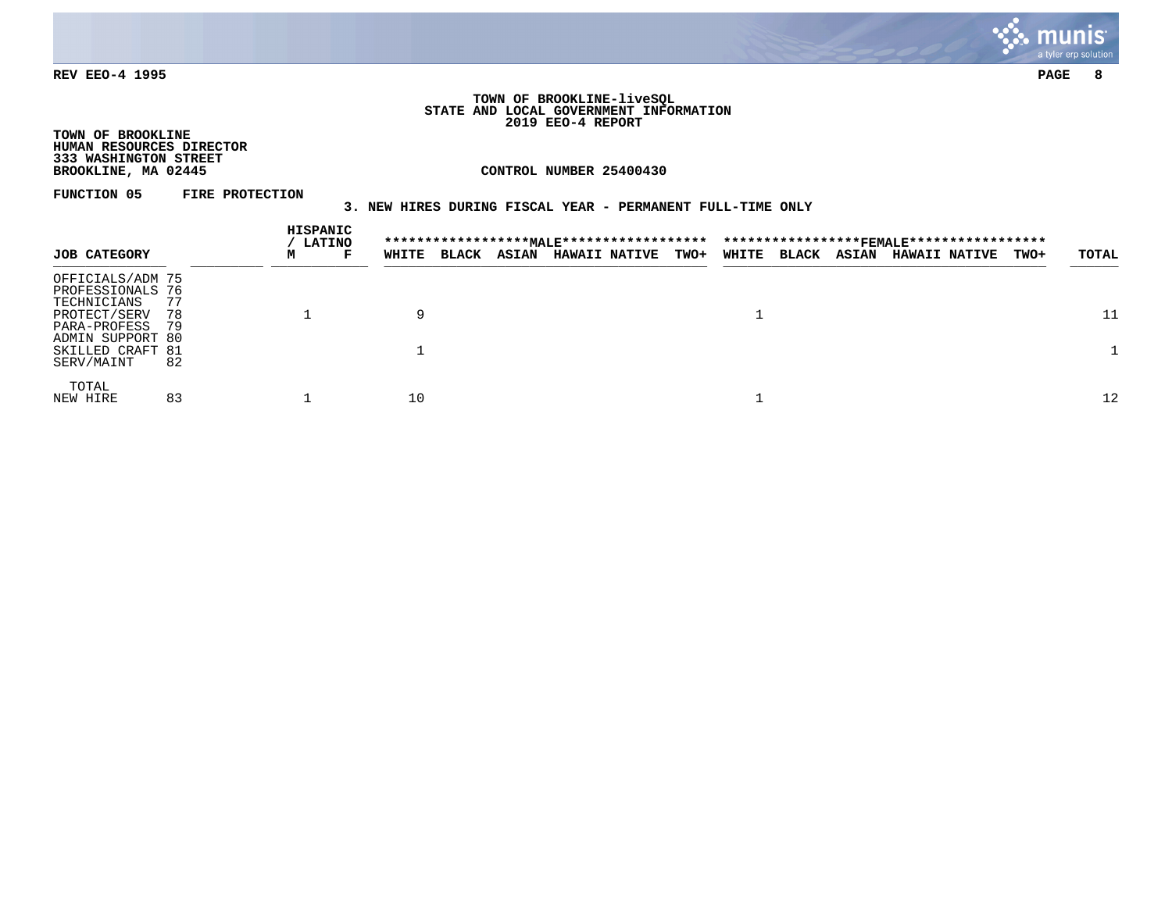

#### **TOWN OF BROOKLINE-liveSQL STATE AND LOCAL GOVERNMENT INFORMATION 2019 EEO-4 REPORT**

**TOWN OF BROOKLINE HUMAN RESOURCES DIRECTOR 333 WASHINGTON STREET**

**CONTROL NUMBER 25400430** 

**FUNCTION 05 FIRE PROTECTION** 

# **3. NEW HIRES DURING FISCAL YEAR - PERMANENT FULL-TIME ONLY**

|                                                     |           |   | HISPANIC<br><b>LATINO</b> |       |              |              |                      |             |       |              |              | ******************* <u>MALE</u> *********************************** <del>FEMALE</del> ***************** |      |       |
|-----------------------------------------------------|-----------|---|---------------------------|-------|--------------|--------------|----------------------|-------------|-------|--------------|--------------|---------------------------------------------------------------------------------------------------------|------|-------|
| <b>JOB CATEGORY</b>                                 |           | м | F                         | WHITE | <b>BLACK</b> | <b>ASIAN</b> | <b>HAWAII NATIVE</b> | <b>TWO+</b> | WHITE | <b>BLACK</b> | <b>ASIAN</b> | <b>HAWAII NATIVE</b>                                                                                    | TWO+ | TOTAL |
| OFFICIALS/ADM 75<br>PROFESSIONALS 76<br>TECHNICIANS | 77        |   |                           |       |              |              |                      |             |       |              |              |                                                                                                         |      |       |
| PROTECT/SERV<br>PARA-PROFESS<br>ADMIN SUPPORT 80    | 78<br>-79 |   |                           | 9     |              |              |                      |             |       |              |              |                                                                                                         |      | 11    |
| SKILLED CRAFT 81<br>SERV/MAINT                      | 82        |   |                           |       |              |              |                      |             |       |              |              |                                                                                                         |      |       |
| TOTAL<br>NEW HIRE                                   | 83        |   |                           | 10    |              |              |                      |             |       |              |              |                                                                                                         |      | 12    |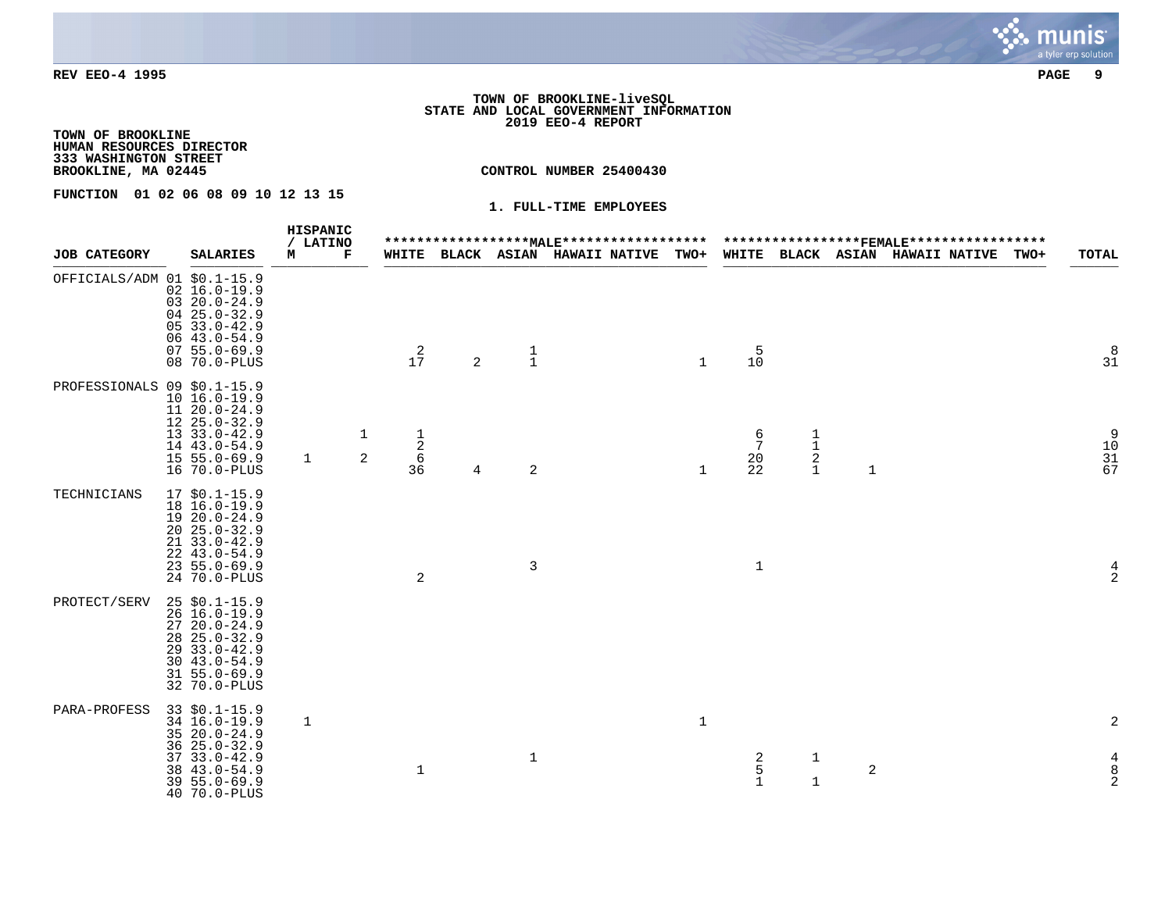#### **TOWN OF BROOKLINE-liveSQL STATE AND LOCAL GOVERNMENT INFORMATION 2019 EEO-4 REPORT**

**TOWN OF BROOKLINE HUMAN RESOURCES DIRECTOR 333 WASHINGTON STREET**

**CONTROL NUMBER 25400430** 

**FUNCTION 01 02 06 08 09 10 12 13 15** 

|                             |                                                                                                                                                       | HISPANIC      |        |                                   |   |                | *******************MAI.E******************* |              |                                        |                                                   |              |                                                                               |      |                                                         |
|-----------------------------|-------------------------------------------------------------------------------------------------------------------------------------------------------|---------------|--------|-----------------------------------|---|----------------|---------------------------------------------|--------------|----------------------------------------|---------------------------------------------------|--------------|-------------------------------------------------------------------------------|------|---------------------------------------------------------|
| <b>JOB CATEGORY</b>         | <b>SALARIES</b>                                                                                                                                       | / LATINO<br>м | г      |                                   |   |                | WHITE BLACK ASIAN HAWAII NATIVE TWO+        |              |                                        |                                                   |              | ******************FEMALE******************<br>WHITE BLACK ASIAN HAWAII NATIVE | TWO+ | <b>TOTAL</b>                                            |
| OFFICIALS/ADM 01 \$0.1-15.9 | $02 \ 16.0 - 19.9$<br>$0320.0 - 24.9$<br>$0425.0 - 32.9$<br>$0533.0 - 42.9$<br>$0643.0 - 54.9$<br>$0755.0 - 69.9$<br>08 70.0-PLUS                     |               |        | $\frac{2}{17}$                    | 2 | $\frac{1}{1}$  |                                             | $\mathbf{1}$ | $\begin{array}{c} 5 \\ 10 \end{array}$ |                                                   |              |                                                                               |      | 8<br>3 <sup>1</sup>                                     |
| PROFESSIONALS 09 \$0.1-15.9 | $10 16.0 - 19.9$<br>$1120.0 - 24.9$<br>$1225.0 - 32.9$<br>$1333.0 - 42.9$<br>14 43.0-54.9<br>$155.0 - 69.9$<br>16 70.0-PLUS                           | 1             | 1<br>2 | $\frac{1}{2}$<br>$\sqrt{6}$<br>36 | 4 | $\overline{c}$ |                                             | $\mathbf{1}$ | $\frac{6}{7}$<br>20<br>22              | $\begin{array}{c}\n1 \\ 1 \\ 2 \\ 1\n\end{array}$ | $\mathbf{1}$ |                                                                               |      | $\begin{array}{c} 9 \\ 10 \\ 31 \\ 67 \end{array}$      |
| TECHNICIANS                 | $17$ \$0.1-15.9<br>18 16.0-19.9<br>$1920.0 - 24.9$<br>$2025.0 - 32.9$<br>21 33.0-42.9<br>$22, 43.0 - 54.9$<br>$235.0 - 69.9$<br>24 70.0-PLUS          |               |        | $\sqrt{2}$                        |   | 3              |                                             |              | $\mathbf{1}$                           |                                                   |              |                                                                               |      | 4<br>$\sqrt{2}$                                         |
| PROTECT/SERV                | $25$ \$0.1-15.9<br>$26 16.0 - 19.9$<br>$2720.0 - 24.9$<br>$28$ $25.0 - 32.9$<br>29 33.0-42.9<br>$30, 43.0 - 54.9$<br>$31 55.0 - 69.9$<br>32 70.0-PLUS |               |        |                                   |   |                |                                             |              |                                        |                                                   |              |                                                                               |      |                                                         |
| PARA-PROFESS                | $33$ \$0.1-15.9<br>34 16.0-19.9<br>$3520.0 - 24.9$<br>$3625.0 - 32.9$                                                                                 | 1             |        |                                   |   |                |                                             | $\mathbf{1}$ |                                        |                                                   |              |                                                                               |      | 2                                                       |
|                             | $3733.0 - 42.9$<br>38 43.0-54.9<br>$395.0 - 69.9$<br>40 70.0-PLUS                                                                                     |               |        | $\mathbf{1}$                      |   | $\mathbf{1}$   |                                             |              | $\frac{2}{5}$<br>$\mathbf{1}$          | $\mathbf 1$<br>$\mathbf 1$                        | $\sqrt{2}$   |                                                                               |      | $\begin{array}{c} 4 \\ 8 \end{array}$<br>$\overline{2}$ |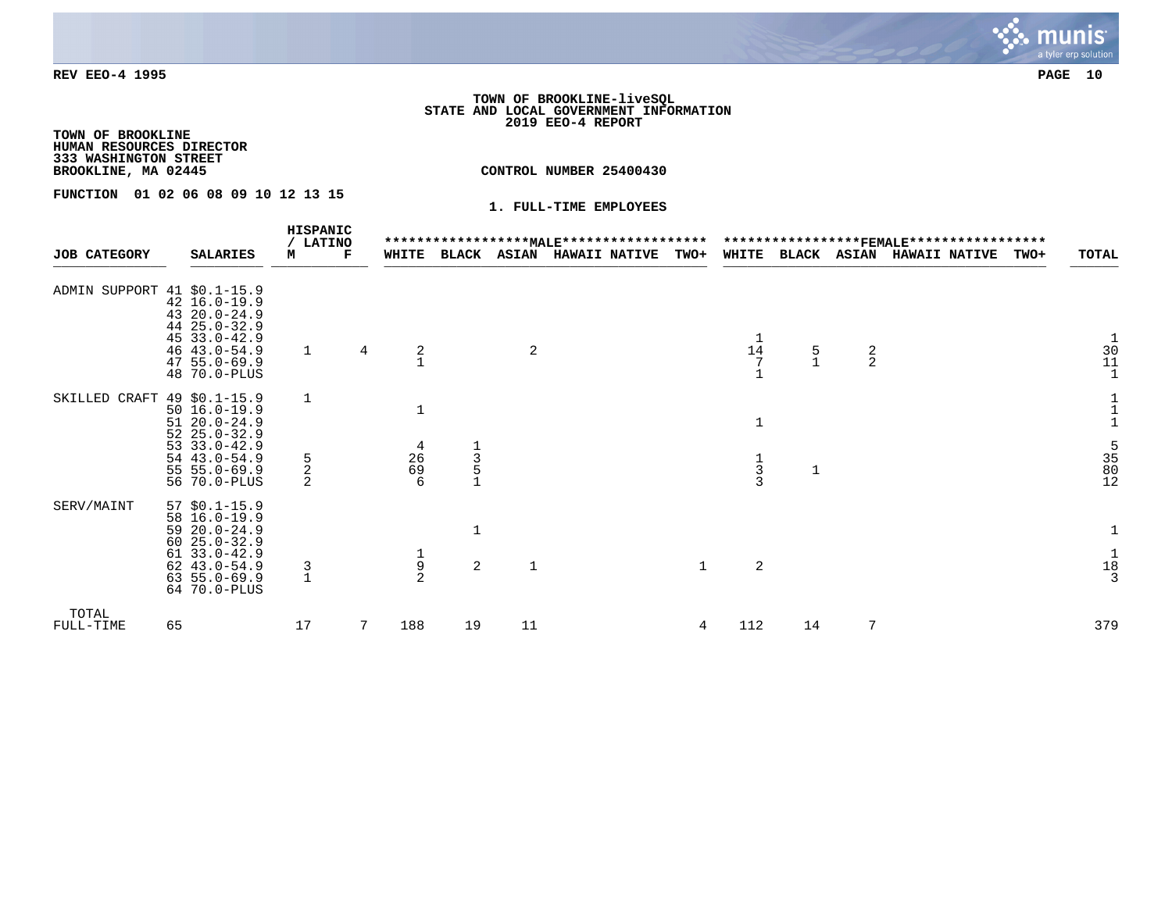#### **TOWN OF BROOKLINE-liveSQL STATE AND LOCAL GOVERNMENT INFORMATION 2019 EEO-4 REPORT**

**TOWN OF BROOKLINE HUMAN RESOURCES DIRECTOR 333 WASHINGTON STREET**

**CONTROL NUMBER 25400430** 

**FUNCTION 01 02 06 08 09 10 12 13 15** 

|                             |    |                                                                                                                                                  |    | HISPANIC<br>/ LATINO |   |                                            |                                                   |              |                      |              |                                                            |               |               | *****************FEMALE****************** |      |                                                                                |
|-----------------------------|----|--------------------------------------------------------------------------------------------------------------------------------------------------|----|----------------------|---|--------------------------------------------|---------------------------------------------------|--------------|----------------------|--------------|------------------------------------------------------------|---------------|---------------|-------------------------------------------|------|--------------------------------------------------------------------------------|
| <b>JOB CATEGORY</b>         |    | <b>SALARIES</b>                                                                                                                                  | м  | Г                    |   | WHITE                                      | <b>BLACK</b>                                      | <b>ASIAN</b> | <b>HAWAII NATIVE</b> | TWO+         | WHITE                                                      | <b>BLACK</b>  | <b>ASIAN</b>  | <b>HAWAII NATIVE</b>                      | TWO+ | TOTAL                                                                          |
| ADMIN SUPPORT 41 \$0.1-15.9 |    | $42 \ 16.0 - 19.9$<br>$4320.0 - 24.9$<br>44 25.0-32.9<br>$4533.0 - 42.9$<br>46 43.0-54.9<br>$475.0 - 69.9$<br>48 70.0-PLUS                       |    |                      | 4 | $\frac{2}{1}$                              |                                                   | 2            |                      |              | 14                                                         | $\frac{5}{1}$ | $\frac{2}{2}$ |                                           |      | $\begin{smallmatrix}1\\30\\11\\1\end{smallmatrix}$                             |
| SKILLED CRAFT 49 \$0.1-15.9 |    | $50 16.0 - 19.9$<br>$5120.0 - 24.9$<br>$5225.0 - 32.9$<br>$53 \t33.0 - 42.9$<br>$54$ 43.0-54.9<br>$55 55.0 - 69.9$<br>56 70.0-PLUS               | 5  | $\overline{2}$<br>2  |   | $\mathbf{1}$<br>$\frac{4}{26}$<br>6        | $\begin{array}{c}\n1 \\ 3 \\ 5 \\ 1\n\end{array}$ |              |                      |              | $\mathbf{1}$<br>$\begin{array}{c} 1 \\ 3 \\ 3 \end{array}$ | 1             |               |                                           |      | $\begin{smallmatrix}1\\1\\1\\1\end{smallmatrix}$<br>$\frac{5}{35}$<br>80<br>12 |
| SERV/MAINT                  |    | $57$ \$0.1-15.9<br>58 16.0-19.9<br>$5920.0 - 24.9$<br>$6025.0 - 32.9$<br>$61$ $33.0 - 42.9$<br>62 43.0-54.9<br>$63, 55.0 - 69.9$<br>64 70.0-PLUS |    | 3                    |   | $\begin{array}{c} 1 \\ 9 \\ 2 \end{array}$ | 2                                                 | 1            |                      | $\mathbf{1}$ | 2                                                          |               |               |                                           |      | $\mathbf{1}$<br>$\begin{smallmatrix}1\1\8\1\3\end{smallmatrix}$                |
| TOTAL<br>FULL-TIME          | 65 |                                                                                                                                                  | 17 |                      |   | 188                                        | 19                                                | 11           |                      | 4            | 112                                                        | 14            | 7             |                                           |      | 379                                                                            |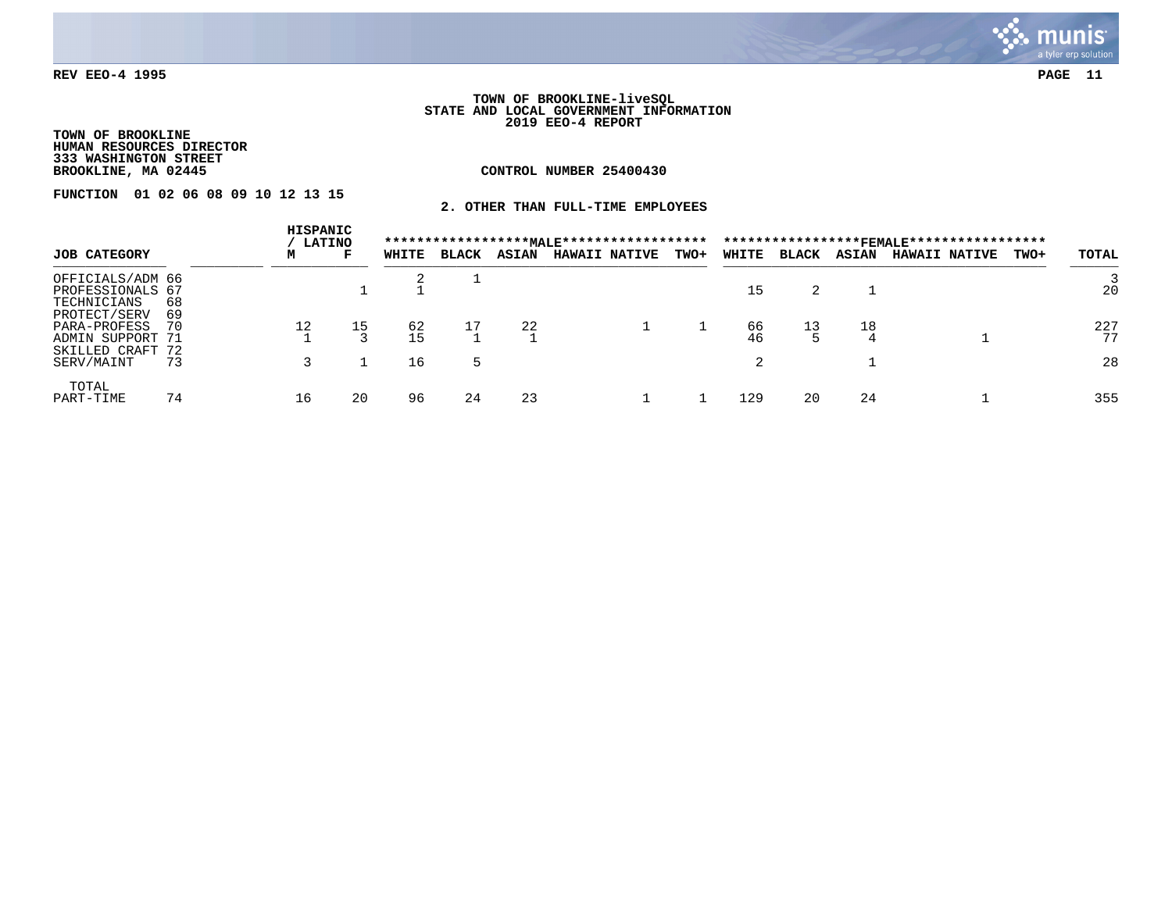

#### **TOWN OF BROOKLINE-liveSQL STATE AND LOCAL GOVERNMENT INFORMATION 2019 EEO-4 REPORT**

**TOWN OF BROOKLINE HUMAN RESOURCES DIRECTOR 333 WASHINGTON STREET**

**CONTROL NUMBER 25400430** 

**FUNCTION 01 02 06 08 09 10 12 13 15** 

**2. OTHER THAN FULL-TIME EMPLOYEES**

|                                                                      |          | HISPANIC | <b>LATINO</b> |          |              |              | ****************** <u>MALE</u> ******************* |      |          |              |              | *****************FEMALE****************** |      |           |
|----------------------------------------------------------------------|----------|----------|---------------|----------|--------------|--------------|----------------------------------------------------|------|----------|--------------|--------------|-------------------------------------------|------|-----------|
| <b>JOB CATEGORY</b>                                                  |          | м        | F             | WHITE    | <b>BLACK</b> | <b>ASIAN</b> | <b>HAWAII NATIVE</b>                               | TWO+ | WHITE    | <b>BLACK</b> | <b>ASIAN</b> | <b>HAWAII NATIVE</b>                      | TWO+ | TOTAL     |
| OFFICIALS/ADM 66<br>PROFESSIONALS 67<br>TECHNICIANS                  | 68       |          |               |          |              |              |                                                    |      | 15       |              |              |                                           |      | 20        |
| PROTECT/SERV<br>PARA-PROFESS<br>ADMIN SUPPORT 71<br>SKILLED CRAFT 72 | 69<br>70 | 12       | 15            | 62<br>15 | 17           | 22           |                                                    |      | 66<br>46 | 13           | 18           |                                           |      | 227<br>77 |
| SERV/MAINT                                                           | 73       |          |               | 16       | 5            |              |                                                    |      |          |              |              |                                           |      | 28        |
| TOTAL<br>PART-TIME                                                   | 74       | 16       | 20            | 96       | 24           | -23          |                                                    |      | 129      | 20           | -24          |                                           |      | 355       |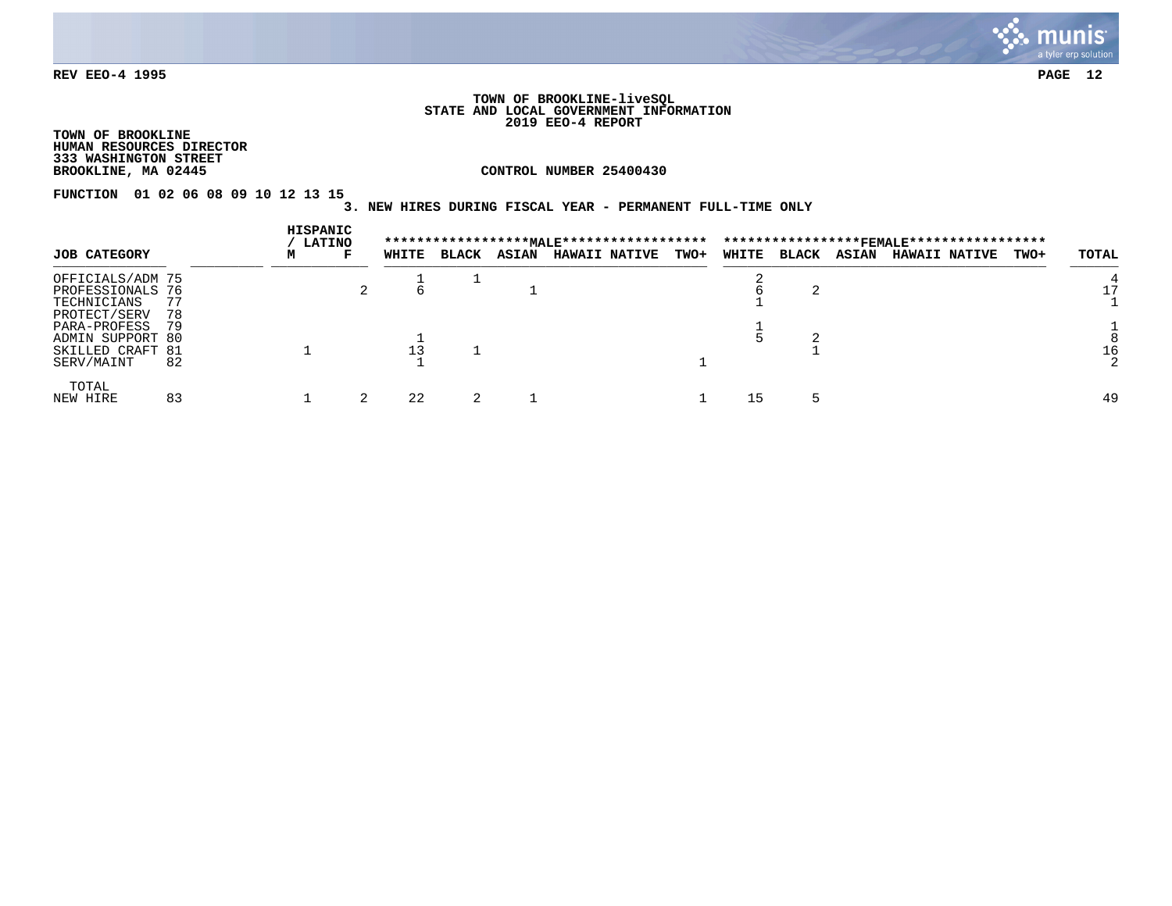

#### **TOWN OF BROOKLINE-liveSQL STATE AND LOCAL GOVERNMENT INFORMATION 2019 EEO-4 REPORT**

**TOWN OF BROOKLINE HUMAN RESOURCES DIRECTOR 333 WASHINGTON STREET**

**CONTROL NUMBER 25400430** 

**FUNCTION 01 02 06 08 09 10 12 13 15** 

# **3. NEW HIRES DURING FISCAL YEAR - PERMANENT FULL-TIME ONLY**

|                                                                     |          | HISPANIC | <b>LATINO</b> |       |              |              |                      |             |       |              |              |                      |      |       |
|---------------------------------------------------------------------|----------|----------|---------------|-------|--------------|--------------|----------------------|-------------|-------|--------------|--------------|----------------------|------|-------|
| <b>JOB CATEGORY</b>                                                 |          | м        | F             | WHITE | <b>BLACK</b> | <b>ASIAN</b> | <b>HAWAII NATIVE</b> | <b>TWO+</b> | WHITE | <b>BLACK</b> | <b>ASIAN</b> | <b>HAWAII NATIVE</b> | TWO+ | TOTAL |
| OFFICIALS/ADM 75<br>PROFESSIONALS 76<br>TECHNICIANS<br>PROTECT/SERV | 77<br>78 |          |               |       |              |              |                      |             |       |              |              |                      |      |       |
| PARA-PROFESS<br>ADMIN SUPPORT 80<br>SKILLED CRAFT 81<br>SERV/MAINT  | 79<br>82 |          |               |       |              |              |                      |             |       |              |              |                      |      | 16    |
| TOTAL<br>NEW HIRE                                                   | 83       |          |               | 22    |              |              |                      |             | L5.   |              |              |                      |      | 49    |